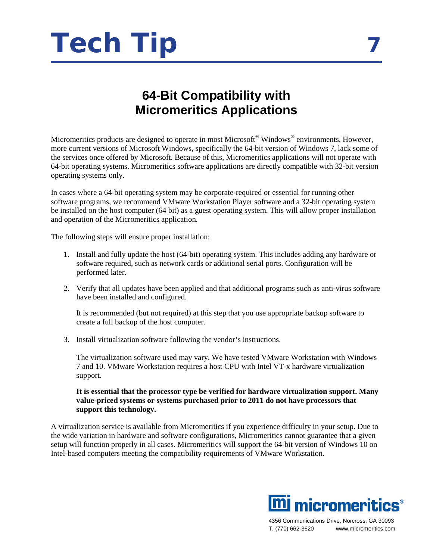

## **64-Bit Compatibility with Micromeritics Applications**

Micromeritics products are designed to operate in most Microsoft<sup>®</sup> Windows<sup>®</sup> environments. However, more current versions of Microsoft Windows, specifically the 64-bit version of Windows 7, lack some of the services once offered by Microsoft. Because of this, Micromeritics applications will not operate with 64-bit operating systems. Micromeritics software applications are directly compatible with 32-bit version operating systems only.

In cases where a 64-bit operating system may be corporate-required or essential for running other software programs, we recommend VMware Workstation Player software and a 32-bit operating system be installed on the host computer (64 bit) as a guest operating system. This will allow proper installation and operation of the Micromeritics application.

The following steps will ensure proper installation:

- 1. Install and fully update the host (64-bit) operating system. This includes adding any hardware or software required, such as network cards or additional serial ports. Configuration will be performed later.
- 2. Verify that all updates have been applied and that additional programs such as anti-virus software have been installed and configured.

It is recommended (but not required) at this step that you use appropriate backup software to create a full backup of the host computer.

3. Install virtualization software following the vendor's instructions.

The virtualization software used may vary. We have tested VMware Workstation with Windows 7 and 10. VMware Workstation requires a host CPU with Intel VT-x hardware virtualization support.

## **It is essential that the processor type be verified for hardware virtualization support. Many value-priced systems or systems purchased prior to 2011 do not have processors that support this technology.**

A virtualization service is available from Micromeritics if you experience difficulty in your setup. Due to the wide variation in hardware and software configurations, Micromeritics cannot guarantee that a given setup will function properly in all cases. Micromeritics will support the 64-bit version of Windows 10 on Intel-based computers meeting the compatibility requirements of VMware Workstation.



4356 Communications Drive, Norcross, GA 30093 T. (770) 662-3620 www.micromeritics.com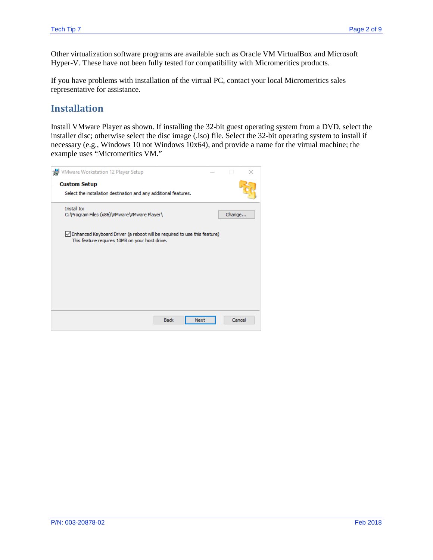Other virtualization software programs are available such as Oracle VM VirtualBox and Microsoft Hyper-V. These have not been fully tested for compatibility with Micromeritics products.

If you have problems with installation of the virtual PC, contact your local Micromeritics sales representative for assistance.

## **Installation**

Install VMware Player as shown. If installing the 32-bit guest operating system from a DVD, select the installer disc; otherwise select the disc image (.iso) file. Select the 32-bit operating system to install if necessary (e.g., Windows 10 not Windows 10x64), and provide a name for the virtual machine; the example uses "Micromeritics VM."

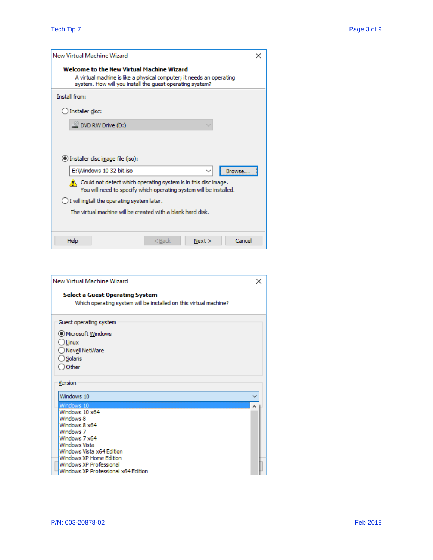| New Virtual Machine Wizard                                                                                                                                                    | × |
|-------------------------------------------------------------------------------------------------------------------------------------------------------------------------------|---|
| Welcome to the New Virtual Machine Wizard<br>A virtual machine is like a physical computer; it needs an operating<br>system. How will you install the quest operating system? |   |
| Install from:                                                                                                                                                                 |   |
| Installer disc:                                                                                                                                                               |   |
| $\subseteq$ DVD RW Drive (D:)                                                                                                                                                 |   |
|                                                                                                                                                                               |   |
|                                                                                                                                                                               |   |
| (c) Installer disc image file (iso):                                                                                                                                          |   |
| E: Windows 10 32-bit.iso<br>$\checkmark$                                                                                                                                      |   |
| $\langle \cdot \rangle$ Could not detect which operating system is in this disc image.<br>You will need to specify which operating system will be installed.                  |   |
| $\bigcirc$ I will install the operating system later.                                                                                                                         |   |
| The virtual machine will be created with a blank hard disk.                                                                                                                   |   |
|                                                                                                                                                                               |   |
| Cancel<br>Help<br>$<$ Back<br>Next >                                                                                                                                          |   |

| New Virtual Machine Wizard                                                                           | × |
|------------------------------------------------------------------------------------------------------|---|
| Select a Guest Operating System<br>Which operating system will be installed on this virtual machine? |   |
| Guest operating system<br>O Microsoft Windows<br>$\bigcirc$ Linux<br>◯ Nov <u>e</u> ll NetWare       |   |
| Solaris<br>O Other<br>Version                                                                        |   |
| Windows 10<br>Windows 10                                                                             | ۸ |
| Windows 10 x64<br>Windows 8<br>Windows 8 x64<br>Windows 7                                            |   |
| Windows 7 x64<br>Windows Vista<br>Windows Vista x64 Edition<br>Windows XP Home Edition               |   |
| Windows XP Professional<br>Windows XP Professional x64 Edition                                       |   |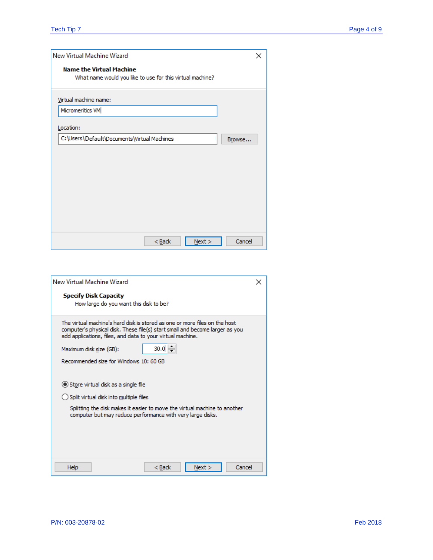| New Virtual Machine Wizard                                                                   | × |
|----------------------------------------------------------------------------------------------|---|
| <b>Name the Virtual Machine</b><br>What name would you like to use for this virtual machine? |   |
| Virtual machine name:                                                                        |   |
| Micromeritics VM                                                                             |   |
| Location:                                                                                    |   |
| C:\Users\Default\Documents\Virtual Machines<br>Browse                                        |   |
|                                                                                              |   |
|                                                                                              |   |
|                                                                                              |   |
|                                                                                              |   |
|                                                                                              |   |
|                                                                                              |   |
| Cancel<br>$N$ ext ><br>$Back$                                                                |   |

| New Virtual Machine Wizard                                                                                                                                                                                               | × |
|--------------------------------------------------------------------------------------------------------------------------------------------------------------------------------------------------------------------------|---|
| <b>Specify Disk Capacity</b><br>How large do you want this disk to be?                                                                                                                                                   |   |
| The virtual machine's hard disk is stored as one or more files on the host<br>computer's physical disk. These file(s) start small and become larger as you<br>add applications, files, and data to your virtual machine. |   |
| 30.0<br>Maximum disk size (GB):                                                                                                                                                                                          |   |
| Recommended size for Windows 10: 60 GB                                                                                                                                                                                   |   |
|                                                                                                                                                                                                                          |   |
| Store virtual disk as a single file                                                                                                                                                                                      |   |
| Split virtual disk into multiple files                                                                                                                                                                                   |   |
| Splitting the disk makes it easier to move the virtual machine to another<br>computer but may reduce performance with very large disks.                                                                                  |   |
|                                                                                                                                                                                                                          |   |
|                                                                                                                                                                                                                          |   |
|                                                                                                                                                                                                                          |   |
| Cancel<br>Help<br>$<$ Back<br>Next                                                                                                                                                                                       |   |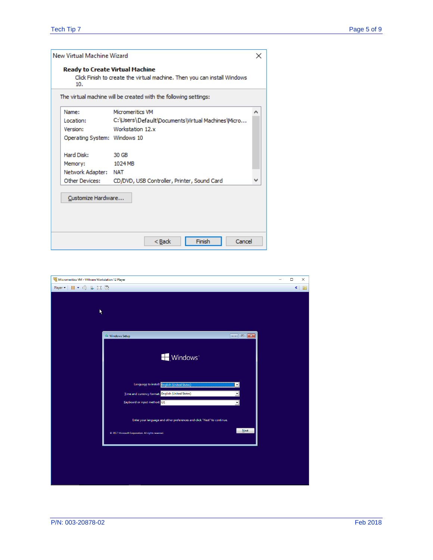| ×                                                                          |
|----------------------------------------------------------------------------|
| Click Finish to create the virtual machine. Then you can install Windows   |
|                                                                            |
| ́                                                                          |
| C: \Users \Default \Documents \Virtual Machines \Micro                     |
|                                                                            |
|                                                                            |
|                                                                            |
|                                                                            |
|                                                                            |
| CD/DVD, USB Controller, Printer, Sound Card                                |
|                                                                            |
| Cancel                                                                     |
| The virtual machine will be created with the following settings:<br>Finish |

| Micromeritics VM - VMware Workstation 12 Player                                                                                                                                                                                                                                                                                                                                                                                                          | $\Box$      | $\times$ |
|----------------------------------------------------------------------------------------------------------------------------------------------------------------------------------------------------------------------------------------------------------------------------------------------------------------------------------------------------------------------------------------------------------------------------------------------------------|-------------|----------|
| $\blacksquare$ , $\oplus$ $\blacksquare$ $\square$ $\boxtimes$<br>Player $\blacktriangledown$                                                                                                                                                                                                                                                                                                                                                            | $\pmb{\ll}$ | 圖        |
|                                                                                                                                                                                                                                                                                                                                                                                                                                                          |             |          |
|                                                                                                                                                                                                                                                                                                                                                                                                                                                          |             |          |
| K                                                                                                                                                                                                                                                                                                                                                                                                                                                        |             |          |
|                                                                                                                                                                                                                                                                                                                                                                                                                                                          |             |          |
|                                                                                                                                                                                                                                                                                                                                                                                                                                                          |             |          |
| Windows Setup<br>$\begin{array}{ c c c c c }\hline \multicolumn{1}{ c }{\multicolumn{1}{c }{\hspace{-1.4ex}}\hline \multicolumn{1}{ c }{\hspace{-1.4ex}}\hline \multicolumn{1}{ c }{\hspace{-1.4ex}}\hline \multicolumn{1}{ c }{\hspace{-1.4ex}}\hline \multicolumn{1}{ c }{\hspace{-1.4ex}}\hline \multicolumn{1}{ c }{\hspace{-1.4ex}}\hline \multicolumn{1}{ c }{\hspace{-1.4ex}}\hline \multicolumn{1}{ c }{\hspace{-1.4ex}}\hline \multicolumn{1}{$ |             |          |
|                                                                                                                                                                                                                                                                                                                                                                                                                                                          |             |          |
| Windows <sup>®</sup>                                                                                                                                                                                                                                                                                                                                                                                                                                     |             |          |
|                                                                                                                                                                                                                                                                                                                                                                                                                                                          |             |          |
|                                                                                                                                                                                                                                                                                                                                                                                                                                                          |             |          |
| Language to install: English (United States)<br>$\mathbf{r}$                                                                                                                                                                                                                                                                                                                                                                                             |             |          |
| Time and currency format: English (United States)<br>▾                                                                                                                                                                                                                                                                                                                                                                                                   |             |          |
| Keyboard or input method: US<br>$\overline{\phantom{a}}$                                                                                                                                                                                                                                                                                                                                                                                                 |             |          |
|                                                                                                                                                                                                                                                                                                                                                                                                                                                          |             |          |
|                                                                                                                                                                                                                                                                                                                                                                                                                                                          |             |          |
| Enter your language and other preferences and click "Next" to continue.                                                                                                                                                                                                                                                                                                                                                                                  |             |          |
| Next<br>@ 2017 Microsoft Corporation. All rights reserved.                                                                                                                                                                                                                                                                                                                                                                                               |             |          |
|                                                                                                                                                                                                                                                                                                                                                                                                                                                          |             |          |
|                                                                                                                                                                                                                                                                                                                                                                                                                                                          |             |          |
|                                                                                                                                                                                                                                                                                                                                                                                                                                                          |             |          |
|                                                                                                                                                                                                                                                                                                                                                                                                                                                          |             |          |
|                                                                                                                                                                                                                                                                                                                                                                                                                                                          |             |          |
|                                                                                                                                                                                                                                                                                                                                                                                                                                                          |             |          |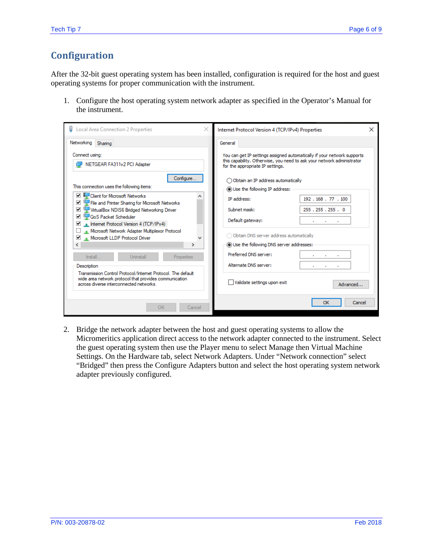## **Configuration**

After the 32-bit guest operating system has been installed, configuration is required for the host and guest operating systems for proper communication with the instrument.

1. Configure the host operating system network adapter as specified in the Operator's Manual for the instrument.

| $\times$<br><b>Local Area Connection 2 Properties</b>                                                                                                                                                                                                                                                                                                                          | Internet Protocol Version 4 (TCP/IPv4) Properties<br>$\times$                                                                                                                                                                |
|--------------------------------------------------------------------------------------------------------------------------------------------------------------------------------------------------------------------------------------------------------------------------------------------------------------------------------------------------------------------------------|------------------------------------------------------------------------------------------------------------------------------------------------------------------------------------------------------------------------------|
| Networking Sharing                                                                                                                                                                                                                                                                                                                                                             | General                                                                                                                                                                                                                      |
| Connect using:<br>NETGEAR FA311v2 PCI Adapter                                                                                                                                                                                                                                                                                                                                  | You can get IP settings assigned automatically if your network supports<br>this capability. Otherwise, you need to ask your network administrator<br>for the appropriate IP settings.                                        |
| Configure<br>This connection uses the following items:<br>Client for Microsoft Networks<br>File and Printer Sharing for Microsoft Networks<br>⊻<br>VirtualBox NDIS6 Bridged Networking Driver<br>▿<br>☞<br>QoS Packet Scheduler<br><b>Internet Protocol Version 4 (TCP/IPv4)</b><br>M<br>Microsoft Network Adapter Multiplexor Protocol<br>⊻<br>Microsoft LLDP Protocol Driver | $\bigcap$ Obtain an IP address automatically<br>(a) Use the following IP address:<br><b>IP</b> address:<br>192, 168, 77, 100<br>255.255.255.0<br>Subnet mask:<br>Default gateway:<br>Obtain DNS server address automatically |
| ⋗                                                                                                                                                                                                                                                                                                                                                                              | (a) Use the following DNS server addresses:                                                                                                                                                                                  |
| $install$<br>Uninstall<br><b>Properties</b>                                                                                                                                                                                                                                                                                                                                    | Preferred DNS server:                                                                                                                                                                                                        |
| Description                                                                                                                                                                                                                                                                                                                                                                    | Alternate DNS server:                                                                                                                                                                                                        |
| Transmission Control Protocol/Internet Protocol. The default<br>wide area network protocol that provides communication<br>across diverse interconnected networks.                                                                                                                                                                                                              | Validate settings upon exit<br>Advanced                                                                                                                                                                                      |
| OK<br>Cancel                                                                                                                                                                                                                                                                                                                                                                   | OK<br>Cancel                                                                                                                                                                                                                 |

2. Bridge the network adapter between the host and guest operating systems to allow the Micromeritics application direct access to the network adapter connected to the instrument. Select the guest operating system then use the Player menu to select Manage then Virtual Machine Settings. On the Hardware tab, select Network Adapters. Under "Network connection" select "Bridged" then press the Configure Adapters button and select the host operating system network adapter previously configured.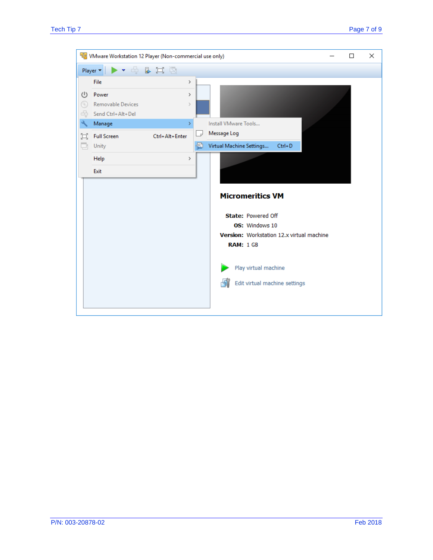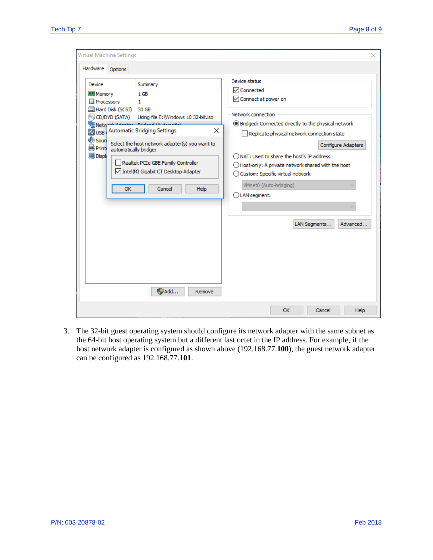| Virtual Machine Settings                                                                                                                                                                           |                                                                                                                                                          |
|----------------------------------------------------------------------------------------------------------------------------------------------------------------------------------------------------|----------------------------------------------------------------------------------------------------------------------------------------------------------|
| Hardware<br>Options                                                                                                                                                                                |                                                                                                                                                          |
| Device<br>Summary<br><b>MILL</b> Memory<br>$1$ GB<br>Processors<br>1<br>Hard Disk (SCSI) 30 GB<br>CD/DVD (SATA)<br>Using file E: Windows 10 32-bit.iso                                             | Device status<br>√ Connected<br>○ Connect at power on<br>Network connection                                                                              |
| Network Advance Baldwell Communication<br>USB   Automatic Bridging Settings<br>$\times$<br>-4<br><b>O</b> Soun<br>Select the host network adapter(s) you want to<br>Print<br>automatically bridge: | ◉ Bridged: Connected directly to the physical network<br>Replicate physical network connection state<br>$\blacksquare$<br>Configure Adapters             |
| <b>Displi</b><br>Realtek PCIe GBE Family Controller<br>Intel(R) Gigabit CT Desktop Adapter                                                                                                         | $\bigcap$ NAT: Used to share the host's IP address<br>$\bigcirc$ Host-only: A private network shared with the host<br>◯ Custom: Specific virtual network |
| OK<br>Help<br>Cancel                                                                                                                                                                               | VMnet0 (Auto-bridging)<br>$\bigcirc$ LAN segment:                                                                                                        |
|                                                                                                                                                                                                    | Advanced<br>LAN Segments                                                                                                                                 |
| $\n  Add\n$<br>Remove                                                                                                                                                                              |                                                                                                                                                          |
|                                                                                                                                                                                                    | OK<br>Cancel<br>Help                                                                                                                                     |

3. The 32-bit guest operating system should configure its network adapter with the same subnet as the 64-bit host operating system but a different last octet in the IP address. For example, if the host network adapter is configured as shown above (192.168.77.**100**), the guest network adapter can be configured as 192.168.77.**101**.